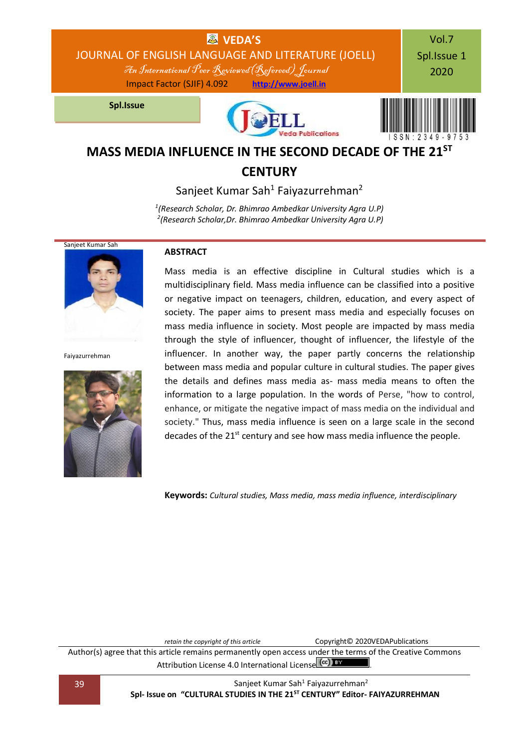

### **CENTURY**

Sanjeet Kumar Sah<sup>1</sup> Faiyazurrehman<sup>2</sup>

*1 (Research Scholar, Dr. Bhimrao Ambedkar University Agra U.P) 2 (Research Scholar,Dr. Bhimrao Ambedkar University Agra U.P)*



Faiyazurrehman



### **ABSTRACT**

Mass media is an effective discipline in Cultural studies which is a multidisciplinary field. Mass media influence can be classified into a positive or negative impact on teenagers, children, education, and every aspect of society. The paper aims to present mass media and especially focuses on mass media influence in society. Most people are impacted by mass media through the style of influencer, thought of influencer, the lifestyle of the influencer. In another way, the paper partly concerns the relationship between mass media and popular culture in cultural studies. The paper gives the details and defines mass media as- mass media means to often the information to a large population. In the words of Perse, "how to control, enhance, or mitigate the negative impact of mass media on the individual and society." Thus, mass media influence is seen on a large scale in the second decades of the  $21<sup>st</sup>$  century and see how mass media influence the people.

**Keywords:** *Cultural studies, Mass media, mass media influence, interdisciplinary*

*retain the copyright of this article* Copyright© 2020VEDAPublications

Author(s) agree that this article remains permanently open access under the terms of the Creative Commons Attribution Lic[e](http://creativecommons.org/licenses/by/4.0/)nse 4.0 International License  $\left(\frac{cc}{c}\right)$  by

39 Sanjeet Kumar Sah<sup>1</sup> Faiyazurrehman<sup>2</sup> **Spl- Issue on "CULTURAL STUDIES IN THE 21ST CENTURY" Editor- FAIYAZURREHMAN**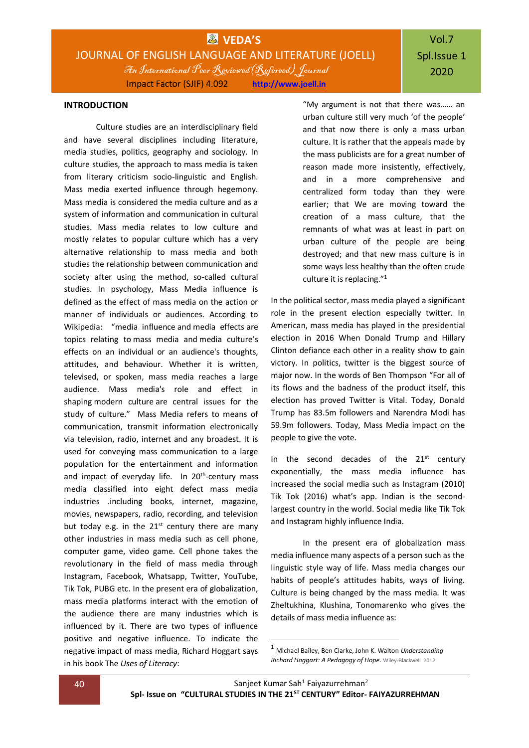#### **INTRODUCTION**

Culture studies are an interdisciplinary field and have several disciplines including literature, media studies, politics, geography and sociology. In culture studies, the approach to mass media is taken from literary criticism socio-linguistic and English. Mass media exerted influence through hegemony. Mass media is considered the media culture and as a system of information and communication in cultural studies. Mass media relates to low culture and mostly relates to popular culture which has a very alternative relationship to mass media and both studies the relationship between communication and society after using the method, so-called cultural studies. In psychology, Mass Media influence is defined as the effect of mass media on the action or manner of individuals or audiences. According to Wikipedia: "media influence and media effects are topics relating to mass media and media culture's effects on an individual or an audience's thoughts, attitudes, and behaviour. Whether it is written, televised, or spoken, mass media reaches a large audience. Mass media's role and effect in shaping modern culture are central issues for the study of culture." Mass Media refers to means of communication, transmit information electronically via television, radio, internet and any broadest. It is used for conveying mass communication to a large population for the entertainment and information and impact of everyday life. In 20<sup>th</sup>-century mass media classified into eight defect mass media industries .including books, internet, magazine, movies, newspapers, radio, recording, and television but today e.g. in the  $21^{st}$  century there are many other industries in mass media such as cell phone, computer game, video game. Cell phone takes the revolutionary in the field of mass media through Instagram, Facebook, Whatsapp, Twitter, YouTube, Tik Tok, PUBG etc. In the present era of globalization, mass media platforms interact with the emotion of the audience there are many industries which is influenced by it. There are two types of influence positive and negative influence. To indicate the negative impact of mass media, Richard Hoggart says in his book The *Uses of Literacy*:

"My argument is not that there was…… an urban culture still very much 'of the people' and that now there is only a mass urban culture. It is rather that the appeals made by the mass publicists are for a great number of reason made more insistently, effectively, and in a more comprehensive and centralized form today than they were earlier; that We are moving toward the creation of a mass culture, that the remnants of what was at least in part on urban culture of the people are being destroyed; and that new mass culture is in some ways less healthy than the often crude culture it is replacing."<sup>1</sup>

In the political sector, mass media played a significant role in the present election especially twitter. In American, mass media has played in the presidential election in 2016 When Donald Trump and Hillary Clinton defiance each other in a reality show to gain victory. In politics, twitter is the biggest source of major now. In the words of Ben Thompson "For all of its flows and the badness of the product itself, this election has proved Twitter is Vital. Today, Donald Trump has 83.5m followers and Narendra Modi has 59.9m followers. Today, Mass Media impact on the people to give the vote.

In the second decades of the  $21^{st}$  century exponentially, the mass media influence has increased the social media such as Instagram (2010) Tik Tok (2016) what's app. Indian is the secondlargest country in the world. Social media like Tik Tok and Instagram highly influence India.

In the present era of globalization mass media influence many aspects of a person such as the linguistic style way of life. Mass media changes our habits of people's attitudes habits, ways of living. Culture is being changed by the mass media. It was Zheltukhina, Klushina, Tonomarenko who gives the details of mass media influence as:

-

<sup>1</sup> Michael Bailey, Ben Clarke, John K. Walton *Understanding Richard Hoggart: A Pedagogy of Hope*. Wiley-Blackwell 2012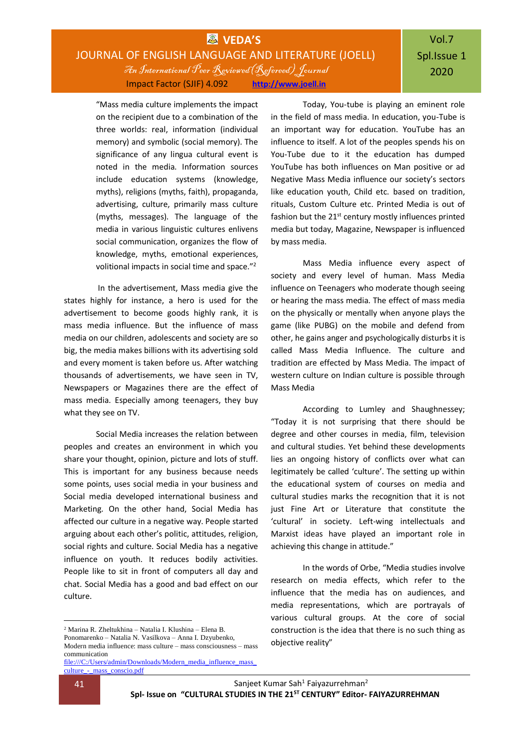### **WVEDA'S** JOURNAL OF ENGLISH LANGUAGE AND LITERATURE (JOELL) An International Peer Reviewed(Refereed) Journal Impact Factor (SJIF) 4.092 **[http://www.joell.in](http://www.joell.in/)**

# Vol.7 Spl.Issue 1 2020

"Mass media culture implements the impact on the recipient due to a combination of the three worlds: real, information (individual memory) and symbolic (social memory). The significance of any lingua cultural event is noted in the media. Information sources include education systems (knowledge, myths), religions (myths, faith), propaganda, advertising, culture, primarily mass culture (myths, messages). The language of the media in various linguistic cultures enlivens social communication, organizes the flow of knowledge, myths, emotional experiences, volitional impacts in social time and space."<sup>2</sup>

In the advertisement, Mass media give the states highly for instance, a hero is used for the advertisement to become goods highly rank, it is mass media influence. But the influence of mass media on our children, adolescents and society are so big, the media makes billions with its advertising sold and every moment is taken before us. After watching thousands of advertisements, we have seen in TV, Newspapers or Magazines there are the effect of mass media. Especially among teenagers, they buy what they see on TV.

Social Media increases the relation between peoples and creates an environment in which you share your thought, opinion, picture and lots of stuff. This is important for any business because needs some points, uses social media in your business and Social media developed international business and Marketing. On the other hand, Social Media has affected our culture in a negative way. People started arguing about each other's politic, attitudes, religion, social rights and culture. Social Media has a negative influence on youth. It reduces bodily activities. People like to sit in front of computers all day and chat. Social Media has a good and bad effect on our culture.

 $^2$  Marina R. Zheltukhina – Natalia I. Klushina – Elena B.

Today, You-tube is playing an eminent role in the field of mass media. In education, you-Tube is an important way for education. YouTube has an influence to itself. A lot of the peoples spends his on You-Tube due to it the education has dumped YouTube has both influences on Man positive or ad Negative Mass Media influence our society's sectors like education youth, Child etc. based on tradition, rituals, Custom Culture etc. Printed Media is out of fashion but the  $21<sup>st</sup>$  century mostly influences printed media but today, Magazine, Newspaper is influenced by mass media.

Mass Media influence every aspect of society and every level of human. Mass Media influence on Teenagers who moderate though seeing or hearing the mass media. The effect of mass media on the physically or mentally when anyone plays the game (like PUBG) on the mobile and defend from other, he gains anger and psychologically disturbs it is called Mass Media Influence. The culture and tradition are effected by Mass Media. The impact of western culture on Indian culture is possible through Mass Media

According to Lumley and Shaughnessey; "Today it is not surprising that there should be degree and other courses in media, film, television and cultural studies. Yet behind these developments lies an ongoing history of conflicts over what can legitimately be called 'culture'. The setting up within the educational system of courses on media and cultural studies marks the recognition that it is not just Fine Art or Literature that constitute the 'cultural' in society. Left-wing intellectuals and Marxist ideas have played an important role in achieving this change in attitude."

In the words of Orbe, "Media studies involve research on media effects, which refer to the influence that the media has on audiences, and media representations, which are portrayals of various cultural groups. At the core of social construction is the idea that there is no such thing as objective reality"

1

Ponomarenko – Natalia N. Vasilkova – Anna I. Dzyubenko, Modern media influence: mass culture – mass consciousness – mass communication

[file:///C:/Users/admin/Downloads/Modern\\_media\\_influence\\_mass\\_](../../Downloads/Modern_media_influence_mass_culture_-_mass_conscio.pdf) [culture\\_-\\_mass\\_conscio.pdf](../../Downloads/Modern_media_influence_mass_culture_-_mass_conscio.pdf)